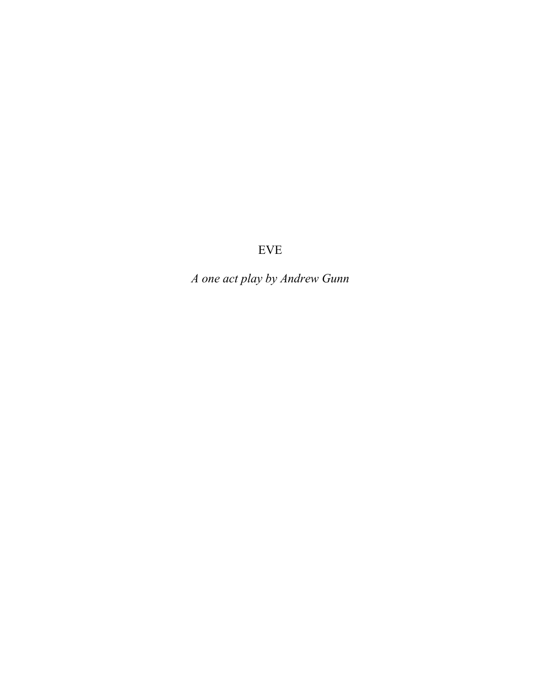*A one act play by Andrew Gunn*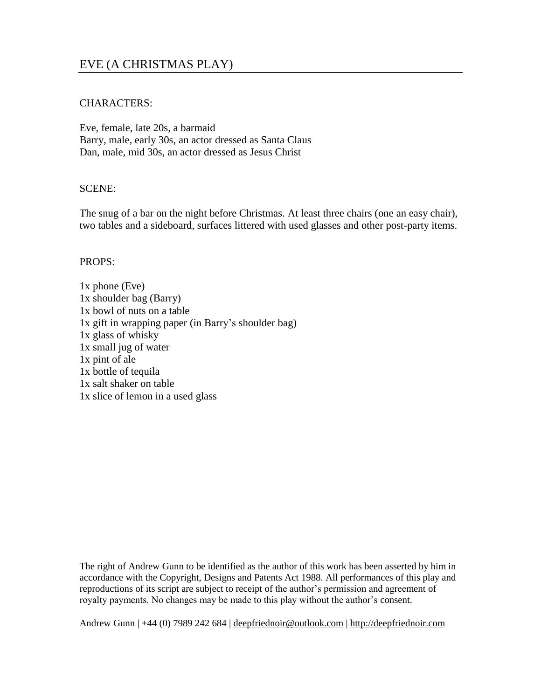# EVE (A CHRISTMAS PLAY)

# CHARACTERS:

Eve, female, late 20s, a barmaid Barry, male, early 30s, an actor dressed as Santa Claus Dan, male, mid 30s, an actor dressed as Jesus Christ

# SCENE:

The snug of a bar on the night before Christmas. At least three chairs (one an easy chair), two tables and a sideboard, surfaces littered with used glasses and other post-party items.

# PROPS:

1x phone (Eve) 1x shoulder bag (Barry) 1x bowl of nuts on a table 1x gift in wrapping paper (in Barry's shoulder bag) 1x glass of whisky 1x small jug of water 1x pint of ale 1x bottle of tequila 1x salt shaker on table 1x slice of lemon in a used glass

The right of Andrew Gunn to be identified as the author of this work has been asserted by him in accordance with the Copyright, Designs and Patents Act 1988. All performances of this play and reproductions of its script are subject to receipt of the author's permission and agreement of royalty payments. No changes may be made to this play without the author's consent.

Andrew Gunn | +44 (0) 7989 242 684 | [deepfriednoir@outlook.com](mailto:deepfriednoir@outlook.com) | [http://deepfriednoir.com](http://deepfriednoir.com/)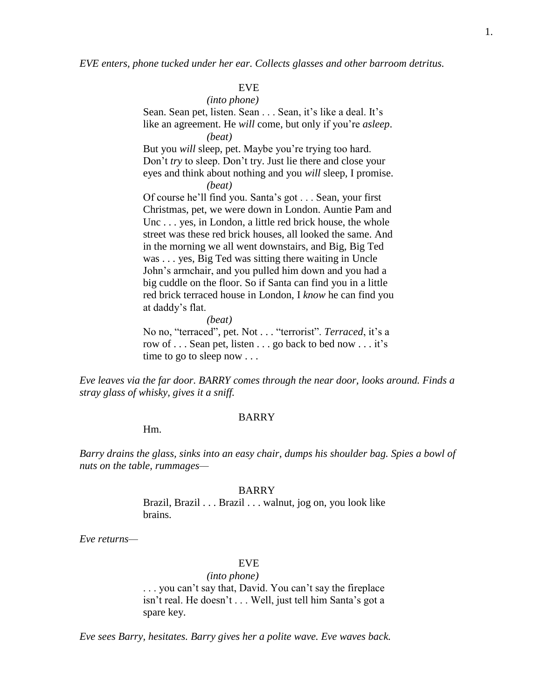*EVE enters, phone tucked under her ear. Collects glasses and other barroom detritus.*

# EVE

*(into phone)* Sean. Sean pet, listen. Sean . . . Sean, it's like a deal. It's like an agreement. He *will* come, but only if you're *asleep*. *(beat)*

But you *will* sleep, pet. Maybe you're trying too hard. Don't *try* to sleep. Don't try. Just lie there and close your eyes and think about nothing and you *will* sleep, I promise. *(beat)*

Of course he'll find you. Santa's got . . . Sean, your first Christmas, pet, we were down in London. Auntie Pam and Unc . . . yes, in London, a little red brick house, the whole street was these red brick houses, all looked the same. And in the morning we all went downstairs, and Big, Big Ted was . . . yes, Big Ted was sitting there waiting in Uncle John's armchair, and you pulled him down and you had a big cuddle on the floor. So if Santa can find you in a little

red brick terraced house in London, I *know* he can find you at daddy's flat.

*(beat)*

No no, "terraced", pet. Not . . . "terrorist". *Terraced*, it's a row of . . . Sean pet, listen . . . go back to bed now . . . it's time to go to sleep now . . .

*Eve leaves via the far door. BARRY comes through the near door, looks around. Finds a stray glass of whisky, gives it a sniff.*

#### BARRY

Hm.

*Barry drains the glass, sinks into an easy chair, dumps his shoulder bag. Spies a bowl of nuts on the table, rummages—*

#### BARRY

Brazil, Brazil . . . Brazil . . . walnut, jog on, you look like brains.

*Eve returns—*

# EVE

*(into phone)* . . . you can't say that, David. You can't say the fireplace isn't real. He doesn't . . . Well, just tell him Santa's got a spare key.

*Eve sees Barry, hesitates. Barry gives her a polite wave. Eve waves back.*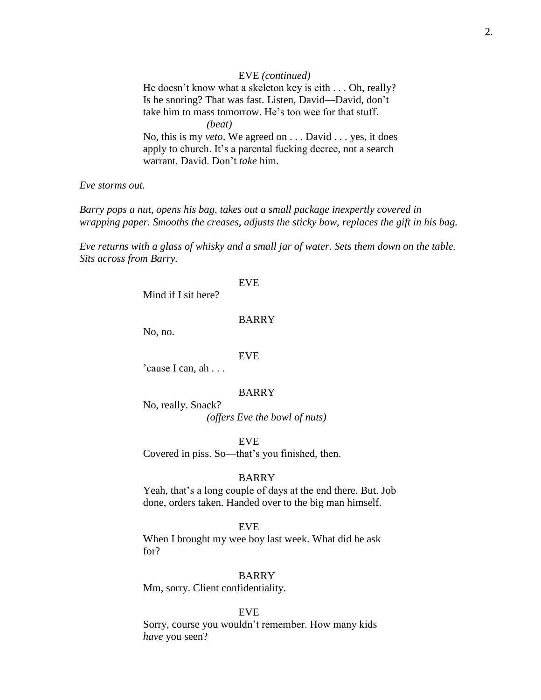#### EVE *(continued)*

He doesn't know what a skeleton key is eith . . . Oh, really? Is he snoring? That was fast. Listen, David—David, don't take him to mass tomorrow. He's too wee for that stuff. *(beat)* No, this is my *veto*. We agreed on . . . David . . . yes, it does apply to church. It's a parental fucking decree, not a search warrant. David. Don't *take* him.

*Eve storms out.*

*Barry pops a nut, opens his bag, takes out a small package inexpertly covered in wrapping paper. Smooths the creases, adjusts the sticky bow, replaces the gift in his bag.*

*Eve returns with a glass of whisky and a small jar of water. Sets them down on the table. Sits across from Barry.*

#### EVE

Mind if I sit here?

#### BARRY

No, no.

### EVE

'cause I can, ah . . .

# BARRY

No, really. Snack? *(offers Eve the bowl of nuts)*

EVE

Covered in piss. So—that's you finished, then.

#### BARRY

Yeah, that's a long couple of days at the end there. But. Job done, orders taken. Handed over to the big man himself.

# EVE

When I brought my wee boy last week. What did he ask for?

# BARRY

Mm, sorry. Client confidentiality.

# EVE

Sorry, course you wouldn't remember. How many kids *have* you seen?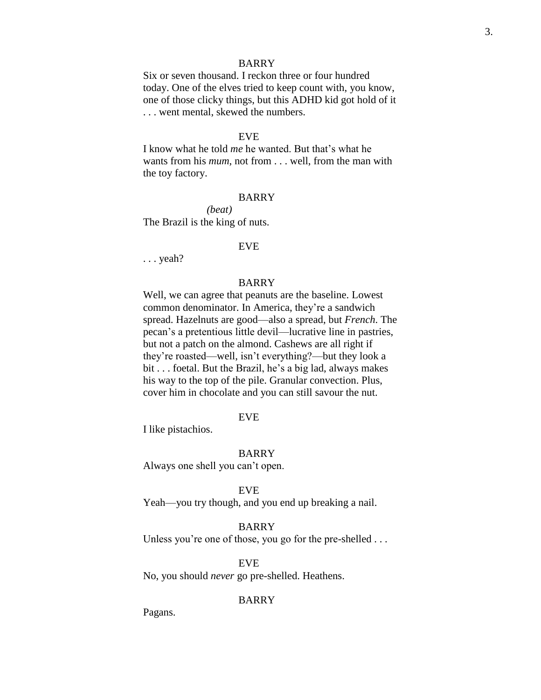Six or seven thousand. I reckon three or four hundred today. One of the elves tried to keep count with, you know, one of those clicky things, but this ADHD kid got hold of it . . . went mental, skewed the numbers.

# EVE

I know what he told *me* he wanted. But that's what he wants from his *mum*, not from . . . well, from the man with the toy factory.

#### BARRY

*(beat)* The Brazil is the king of nuts.

#### EVE

. . . yeah?

# BARRY

Well, we can agree that peanuts are the baseline. Lowest common denominator. In America, they're a sandwich spread. Hazelnuts are good—also a spread, but *French*. The pecan's a pretentious little devil—lucrative line in pastries, but not a patch on the almond. Cashews are all right if they're roasted—well, isn't everything?—but they look a bit . . . foetal. But the Brazil, he's a big lad, always makes his way to the top of the pile. Granular convection. Plus, cover him in chocolate and you can still savour the nut.

#### EVE

I like pistachios.

# BARRY

Always one shell you can't open.

#### EVE

Yeah—you try though, and you end up breaking a nail.

# BARRY

Unless you're one of those, you go for the pre-shelled . . .

### EVE

No, you should *never* go pre-shelled. Heathens.

# BARRY

Pagans.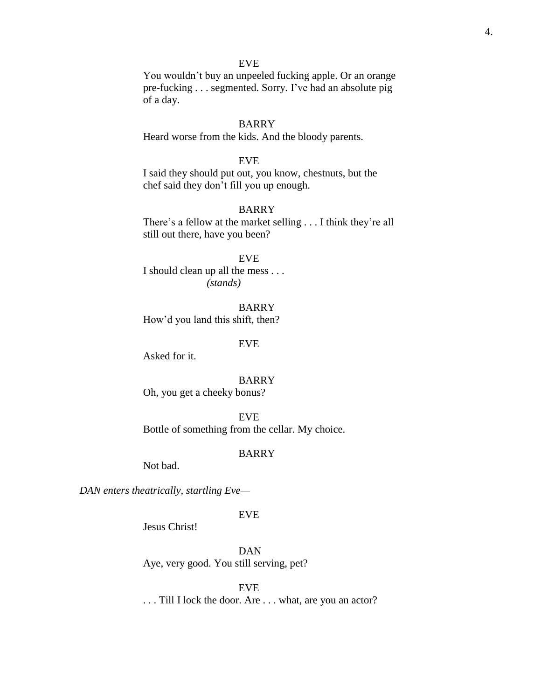EVE You wouldn't buy an unpeeled fucking apple. Or an orange pre-fucking . . . segmented. Sorry. I've had an absolute pig of a day.

# BARRY

Heard worse from the kids. And the bloody parents.

# EVE

I said they should put out, you know, chestnuts, but the chef said they don't fill you up enough.

# BARRY

There's a fellow at the market selling . . . I think they're all still out there, have you been?

#### EVE

I should clean up all the mess . . . *(stands)*

BARRY How'd you land this shift, then?

### EVE

Asked for it.

#### BARRY

Oh, you get a cheeky bonus?

EVE

Bottle of something from the cellar. My choice.

# BARRY

Not bad.

*DAN enters theatrically, startling Eve—*

# EVE

Jesus Christ!

DAN Aye, very good. You still serving, pet?

# EVE

. . . Till I lock the door. Are . . . what, are you an actor?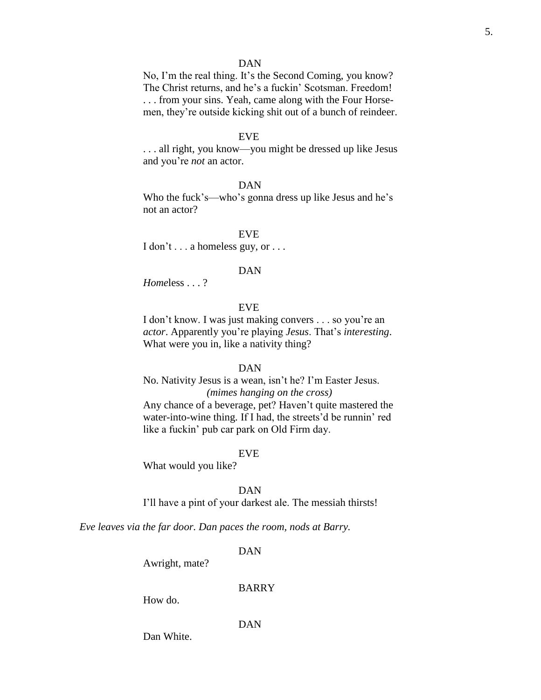# DAN

No, I'm the real thing. It's the Second Coming, you know? The Christ returns, and he's a fuckin' Scotsman. Freedom! . . . from your sins. Yeah, came along with the Four Horsemen, they're outside kicking shit out of a bunch of reindeer.

# EVE

. . . all right, you know—you might be dressed up like Jesus and you're *not* an actor.

# DAN

Who the fuck's—who's gonna dress up like Jesus and he's not an actor?

# EVE

I don't . . . a homeless guy, or . . .

#### DAN

*Home*less . . . ?

# EVE

I don't know. I was just making convers . . . so you're an *actor*. Apparently you're playing *Jesus*. That's *interesting*. What were you in, like a nativity thing?

#### DAN

No. Nativity Jesus is a wean, isn't he? I'm Easter Jesus.

# *(mimes hanging on the cross)*

Any chance of a beverage, pet? Haven't quite mastered the water-into-wine thing. If I had, the streets'd be runnin' red like a fuckin' pub car park on Old Firm day.

#### EVE

What would you like?

#### DAN

I'll have a pint of your darkest ale. The messiah thirsts!

*Eve leaves via the far door. Dan paces the room, nods at Barry.*

# DAN

Awright, mate?

# BARRY

How do.

# DAN

Dan White.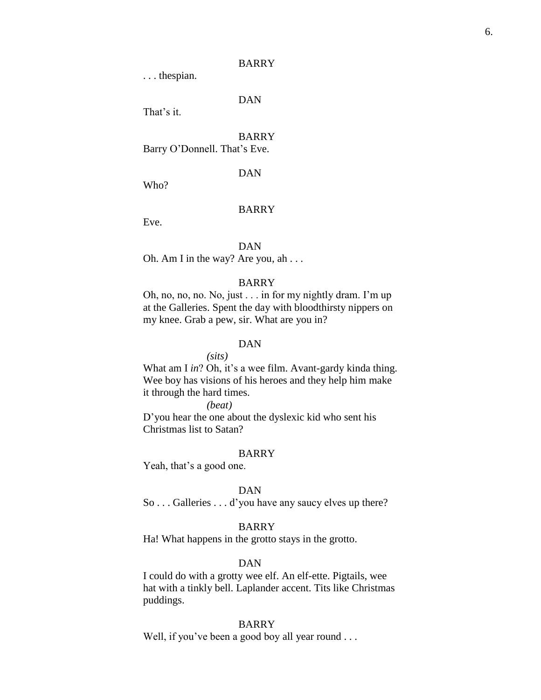. . . thespian.

DAN

That's it.

# BARRY

Barry O'Donnell. That's Eve.

DAN

Who?

#### BARRY

Eve.

#### DAN

Oh. Am I in the way? Are you, ah . . .

# BARRY

Oh, no, no, no. No, just . . . in for my nightly dram. I'm up at the Galleries. Spent the day with bloodthirsty nippers on my knee. Grab a pew, sir. What are you in?

# DAN

*(sits)*

What am I *in*? Oh, it's a wee film. Avant-gardy kinda thing. Wee boy has visions of his heroes and they help him make it through the hard times.

*(beat)*

D'you hear the one about the dyslexic kid who sent his Christmas list to Satan?

# BARRY

Yeah, that's a good one.

#### DAN

So . . . Galleries . . . d'you have any saucy elves up there?

# BARRY

Ha! What happens in the grotto stays in the grotto.

# DAN

I could do with a grotty wee elf. An elf-ette. Pigtails, wee hat with a tinkly bell. Laplander accent. Tits like Christmas puddings.

# BARRY

Well, if you've been a good boy all year round . . .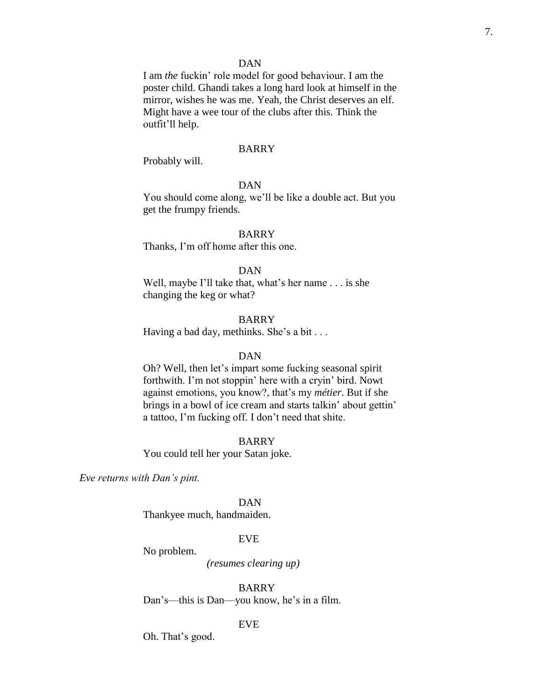# DAN

I am *the* fuckin' role model for good behaviour. I am the poster child. Ghandi takes a long hard look at himself in the mirror, wishes he was me. Yeah, the Christ deserves an elf. Might have a wee tour of the clubs after this. Think the outfit'll help.

#### BARRY

Probably will.

# DAN

You should come along, we'll be like a double act. But you get the frumpy friends.

# BARRY

Thanks, I'm off home after this one.

# DAN

Well, maybe I'll take that, what's her name . . . is she changing the keg or what?

### BARRY

Having a bad day, methinks. She's a bit . . .

# DAN

Oh? Well, then let's impart some fucking seasonal spirit forthwith. I'm not stoppin' here with a cryin' bird. Nowt against emotions, you know?, that's my *métier*. But if she brings in a bowl of ice cream and starts talkin' about gettin' a tattoo, I'm fucking off. I don't need that shite.

#### BARRY

You could tell her your Satan joke.

*Eve returns with Dan's pint.*

DAN

Thankyee much, handmaiden.

# EVE

No problem.

# *(resumes clearing up)*

BARRY Dan's—this is Dan—you know, he's in a film.

### EVE

Oh. That's good.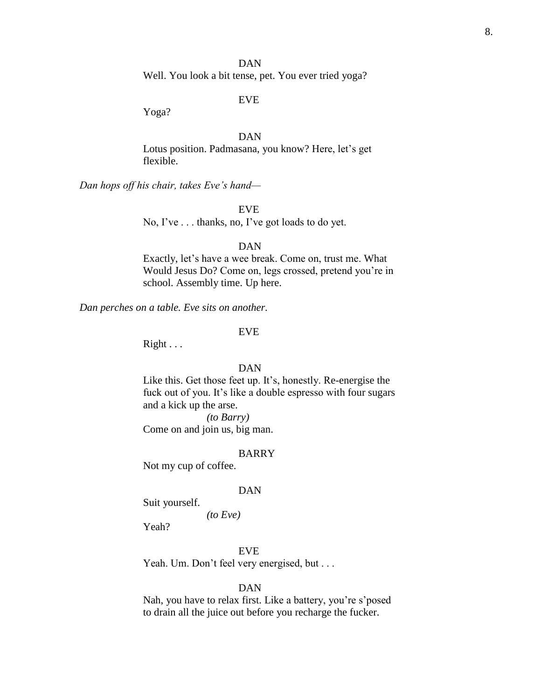DAN Well. You look a bit tense, pet. You ever tried yoga?

EVE

Yoga?

# DAN

Lotus position. Padmasana, you know? Here, let's get flexible.

*Dan hops off his chair, takes Eve's hand—*

EVE

No, I've . . . thanks, no, I've got loads to do yet.

### DAN

Exactly, let's have a wee break. Come on, trust me. What Would Jesus Do? Come on, legs crossed, pretend you're in school. Assembly time. Up here.

*Dan perches on a table. Eve sits on another.*

#### EVE

Right . . .

#### DAN

Like this. Get those feet up. It's, honestly. Re-energise the fuck out of you. It's like a double espresso with four sugars and a kick up the arse.

*(to Barry)*

Come on and join us, big man.

#### BARRY

Not my cup of coffee.

#### DAN

Suit yourself.

*(to Eve)*

Yeah?

#### EVE

Yeah. Um. Don't feel very energised, but . . .

# DAN

Nah, you have to relax first. Like a battery, you're s'posed to drain all the juice out before you recharge the fucker.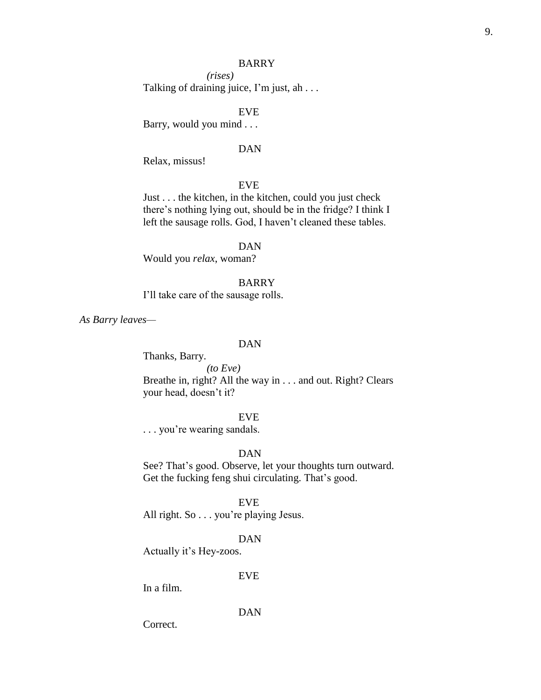*(rises)* Talking of draining juice, I'm just, ah . . .

# EVE

Barry, would you mind . . .

### DAN

Relax, missus!

# EVE

Just . . . the kitchen, in the kitchen, could you just check there's nothing lying out, should be in the fridge? I think I left the sausage rolls. God, I haven't cleaned these tables.

#### DAN

Would you *relax*, woman?

# BARRY

I'll take care of the sausage rolls.

*As Barry leaves—*

### DAN

Thanks, Barry. *(to Eve)* Breathe in, right? All the way in . . . and out. Right? Clears your head, doesn't it?

# EVE

. . . you're wearing sandals.

# DAN

See? That's good. Observe, let your thoughts turn outward. Get the fucking feng shui circulating. That's good.

# EVE

All right. So . . . you're playing Jesus.

# DAN

Actually it's Hey-zoos.

# EVE

In a film.

DAN

Correct.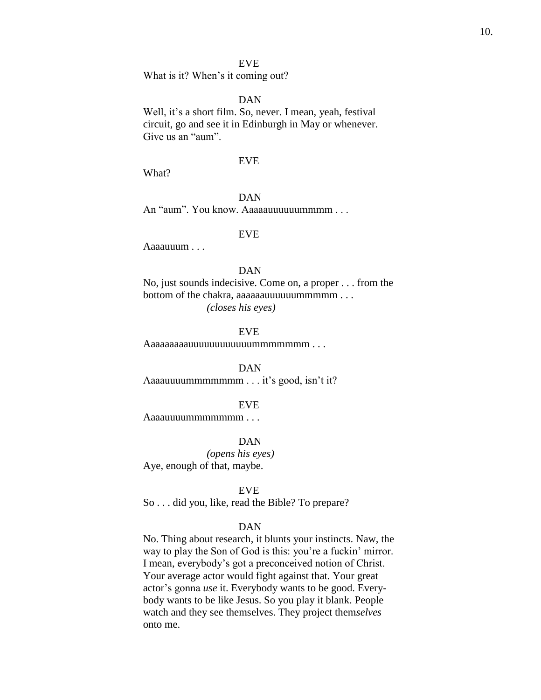What is it? When's it coming out?

# DAN

Well, it's a short film. So, never. I mean, yeah, festival circuit, go and see it in Edinburgh in May or whenever. Give us an "aum".

# EVE

What?

# DAN

An "aum". You know. Aaaaauuuuuummmm . . .

#### EVE

Aaaauuum . . .

# DAN

No, just sounds indecisive. Come on, a proper . . . from the bottom of the chakra, aaaaaauuuuuummmmm . . . *(closes his eyes)*

EVE

Aaaaaaaaauuuuuuuuuuuummmmmmm . . .

DAN

Aaaauuuummmmmmm . . . it's good, isn't it?

#### EVE

Aaaauuuummmmmmm . . .

#### DAN

*(opens his eyes)* Aye, enough of that, maybe.

#### EVE

So . . . did you, like, read the Bible? To prepare?

# DAN

No. Thing about research, it blunts your instincts. Naw, the way to play the Son of God is this: you're a fuckin' mirror. I mean, everybody's got a preconceived notion of Christ. Your average actor would fight against that. Your great actor's gonna *use* it. Everybody wants to be good. Everybody wants to be like Jesus. So you play it blank. People watch and they see themselves. They project them*selves* onto me.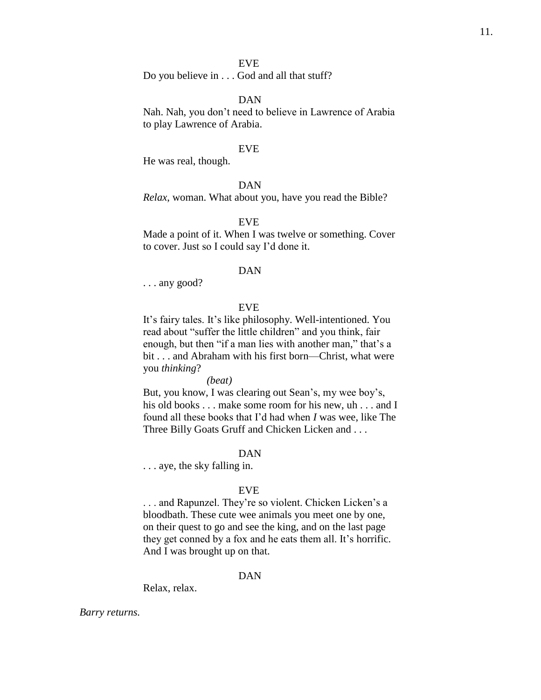Do you believe in . . . God and all that stuff?

# DAN

Nah. Nah, you don't need to believe in Lawrence of Arabia to play Lawrence of Arabia.

#### EVE

He was real, though.

# DAN

*Relax*, woman. What about you, have you read the Bible?

#### EVE

Made a point of it. When I was twelve or something. Cover to cover. Just so I could say I'd done it.

#### DAN

. . . any good?

# EVE

It's fairy tales. It's like philosophy. Well-intentioned. You read about "suffer the little children" and you think, fair enough, but then "if a man lies with another man," that's a bit . . . and Abraham with his first born—Christ, what were you *thinking*?

# *(beat)*

But, you know, I was clearing out Sean's, my wee boy's, his old books . . . make some room for his new, uh . . . and I found all these books that I'd had when *I* was wee, like The Three Billy Goats Gruff and Chicken Licken and . . .

# DAN

. . . aye, the sky falling in.

#### EVE

. . . and Rapunzel. They're so violent. Chicken Licken's a bloodbath. These cute wee animals you meet one by one, on their quest to go and see the king, and on the last page they get conned by a fox and he eats them all. It's horrific. And I was brought up on that.

#### DAN

Relax, relax.

*Barry returns.*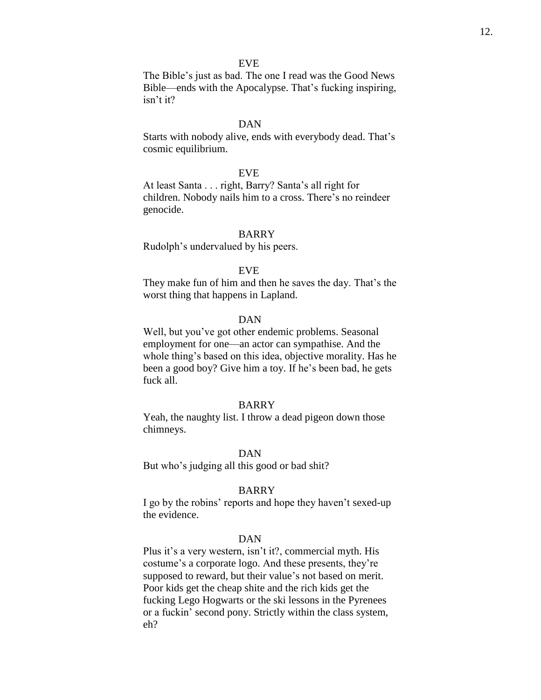The Bible's just as bad. The one I read was the Good News Bible—ends with the Apocalypse. That's fucking inspiring, isn't it?

#### DAN

Starts with nobody alive, ends with everybody dead. That's cosmic equilibrium.

#### EVE

At least Santa . . . right, Barry? Santa's all right for children. Nobody nails him to a cross. There's no reindeer genocide.

# BARRY

Rudolph's undervalued by his peers.

#### EVE

They make fun of him and then he saves the day. That's the worst thing that happens in Lapland.

#### DAN

Well, but you've got other endemic problems. Seasonal employment for one—an actor can sympathise. And the whole thing's based on this idea, objective morality. Has he been a good boy? Give him a toy. If he's been bad, he gets fuck all.

#### BARRY

Yeah, the naughty list. I throw a dead pigeon down those chimneys.

# DAN

But who's judging all this good or bad shit?

# BARRY

I go by the robins' reports and hope they haven't sexed-up the evidence.

# DAN

Plus it's a very western, isn't it?, commercial myth. His costume's a corporate logo. And these presents, they're supposed to reward, but their value's not based on merit. Poor kids get the cheap shite and the rich kids get the fucking Lego Hogwarts or the ski lessons in the Pyrenees or a fuckin' second pony. Strictly within the class system, eh?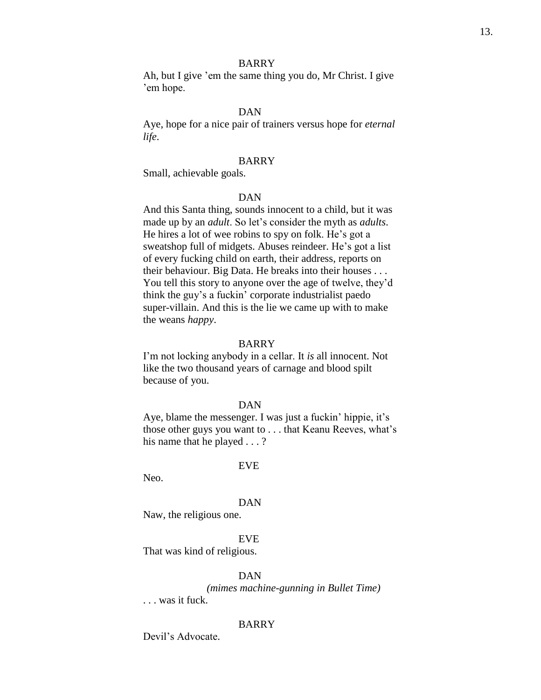Ah, but I give 'em the same thing you do, Mr Christ. I give 'em hope.

#### DAN

Aye, hope for a nice pair of trainers versus hope for *eternal life*.

# BARRY

Small, achievable goals.

# DAN

And this Santa thing, sounds innocent to a child, but it was made up by an *adult*. So let's consider the myth as *adults*. He hires a lot of wee robins to spy on folk. He's got a sweatshop full of midgets. Abuses reindeer. He's got a list of every fucking child on earth, their address, reports on their behaviour. Big Data. He breaks into their houses . . . You tell this story to anyone over the age of twelve, they'd think the guy's a fuckin' corporate industrialist paedo super-villain. And this is the lie we came up with to make the weans *happy*.

#### BARRY

I'm not locking anybody in a cellar. It *is* all innocent. Not like the two thousand years of carnage and blood spilt because of you.

#### DAN

Aye, blame the messenger. I was just a fuckin' hippie, it's those other guys you want to . . . that Keanu Reeves, what's his name that he played . . . ?

#### EVE

Neo.

#### DAN

Naw, the religious one.

# EVE

That was kind of religious.

#### DAN

*(mimes machine-gunning in Bullet Time)*

. . . was it fuck.

#### BARRY

Devil's Advocate.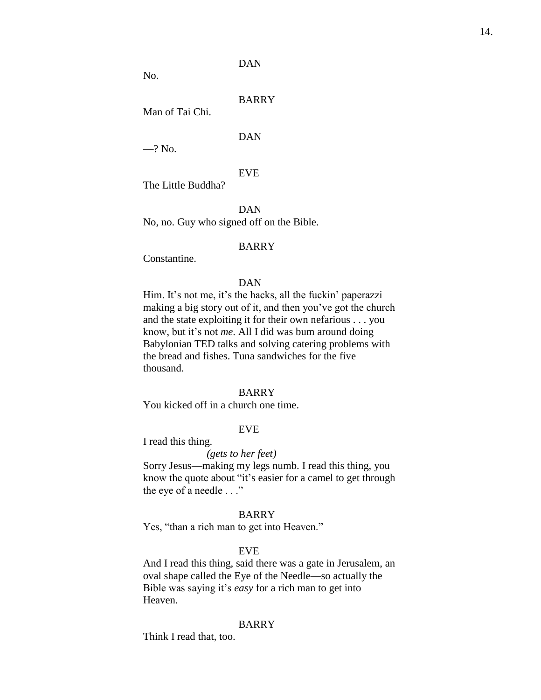# DAN

No.

# BARRY

Man of Tai Chi.

# DAN

 $-?$  No.

# EVE

The Little Buddha?

DAN No, no. Guy who signed off on the Bible.

### BARRY

Constantine.

# DAN

Him. It's not me, it's the hacks, all the fuckin' paperazzi making a big story out of it, and then you've got the church and the state exploiting it for their own nefarious . . . you know, but it's not *me*. All I did was bum around doing Babylonian TED talks and solving catering problems with the bread and fishes. Tuna sandwiches for the five thousand.

# BARRY

You kicked off in a church one time.

# EVE

I read this thing.

# *(gets to her feet)*

Sorry Jesus—making my legs numb. I read this thing, you know the quote about "it's easier for a camel to get through the eye of a needle . . ."

# BARRY

Yes, "than a rich man to get into Heaven."

#### EVE

And I read this thing, said there was a gate in Jerusalem, an oval shape called the Eye of the Needle—so actually the Bible was saying it's *easy* for a rich man to get into Heaven.

#### BARRY

Think I read that, too.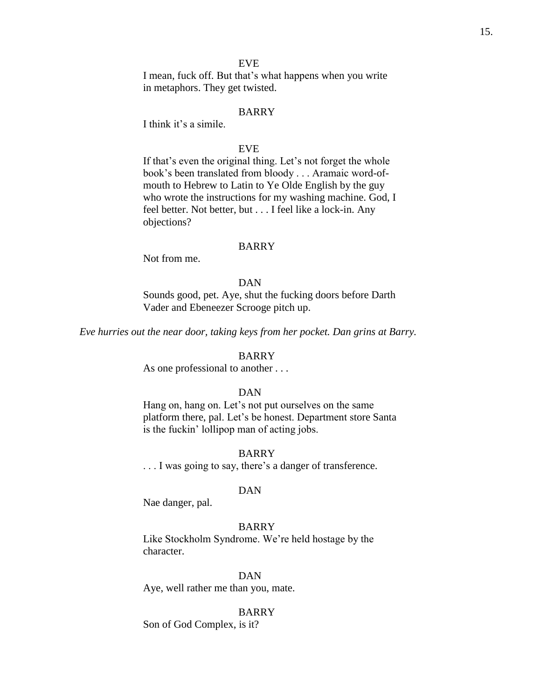I mean, fuck off. But that's what happens when you write in metaphors. They get twisted.

# BARRY

I think it's a simile.

# EVE

If that's even the original thing. Let's not forget the whole book's been translated from bloody . . . Aramaic word-ofmouth to Hebrew to Latin to Ye Olde English by the guy who wrote the instructions for my washing machine. God, I feel better. Not better, but . . . I feel like a lock-in. Any objections?

### BARRY

Not from me.

# DAN

Sounds good, pet. Aye, shut the fucking doors before Darth Vader and Ebeneezer Scrooge pitch up.

*Eve hurries out the near door, taking keys from her pocket. Dan grins at Barry.*

# BARRY

As one professional to another ...

# DAN

Hang on, hang on. Let's not put ourselves on the same platform there, pal. Let's be honest. Department store Santa is the fuckin' lollipop man of acting jobs.

# BARRY

. . . I was going to say, there's a danger of transference.

#### DAN

Nae danger, pal.

# BARRY

Like Stockholm Syndrome. We're held hostage by the character.

# DAN

Aye, well rather me than you, mate.

#### BARRY

Son of God Complex, is it?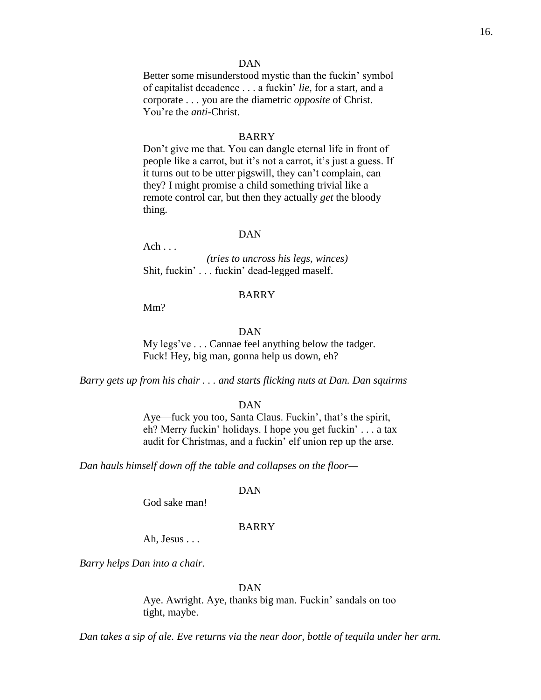# DAN

Better some misunderstood mystic than the fuckin' symbol of capitalist decadence . . . a fuckin' *lie*, for a start, and a corporate . . . you are the diametric *opposite* of Christ. You're the *anti*-Christ.

### BARRY

Don't give me that. You can dangle eternal life in front of people like a carrot, but it's not a carrot, it's just a guess. If it turns out to be utter pigswill, they can't complain, can they? I might promise a child something trivial like a remote control car, but then they actually *get* the bloody thing.

# DAN

Ach . . . *(tries to uncross his legs, winces)* Shit, fuckin' . . . fuckin' dead-legged maself.

#### BARRY

Mm?

DAN

My legs've . . . Cannae feel anything below the tadger. Fuck! Hey, big man, gonna help us down, eh?

*Barry gets up from his chair . . . and starts flicking nuts at Dan. Dan squirms—*

#### DAN

Aye—fuck you too, Santa Claus. Fuckin', that's the spirit, eh? Merry fuckin' holidays. I hope you get fuckin' . . . a tax audit for Christmas, and a fuckin' elf union rep up the arse.

*Dan hauls himself down off the table and collapses on the floor—*

# DAN

God sake man!

# BARRY

Ah, Jesus . . .

*Barry helps Dan into a chair.*

#### DAN

Aye. Awright. Aye, thanks big man. Fuckin' sandals on too tight, maybe.

*Dan takes a sip of ale. Eve returns via the near door, bottle of tequila under her arm.*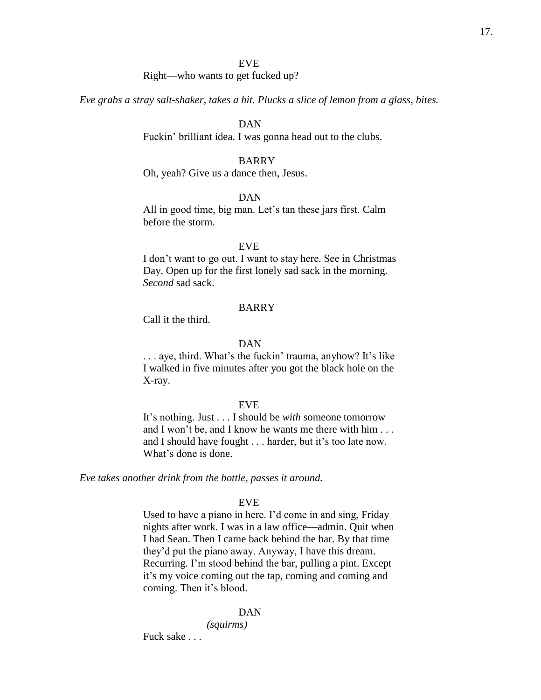# Right—who wants to get fucked up?

*Eve grabs a stray salt-shaker, takes a hit. Plucks a slice of lemon from a glass, bites.*

# DAN

Fuckin' brilliant idea. I was gonna head out to the clubs.

# BARRY

Oh, yeah? Give us a dance then, Jesus.

# DAN

All in good time, big man. Let's tan these jars first. Calm before the storm.

### EVE

I don't want to go out. I want to stay here. See in Christmas Day. Open up for the first lonely sad sack in the morning. *Second* sad sack.

# BARRY

Call it the third.

### DAN

. . . aye, third. What's the fuckin' trauma, anyhow? It's like I walked in five minutes after you got the black hole on the X-ray.

#### EVE

It's nothing. Just . . . I should be *with* someone tomorrow and I won't be, and I know he wants me there with him . . . and I should have fought . . . harder, but it's too late now. What's done is done.

*Eve takes another drink from the bottle, passes it around.*

# EVE

Used to have a piano in here. I'd come in and sing, Friday nights after work. I was in a law office—admin. Quit when I had Sean. Then I came back behind the bar. By that time they'd put the piano away. Anyway, I have this dream. Recurring. I'm stood behind the bar, pulling a pint. Except it's my voice coming out the tap, coming and coming and coming. Then it's blood.

#### DAN

*(squirms)*

Fuck sake . . .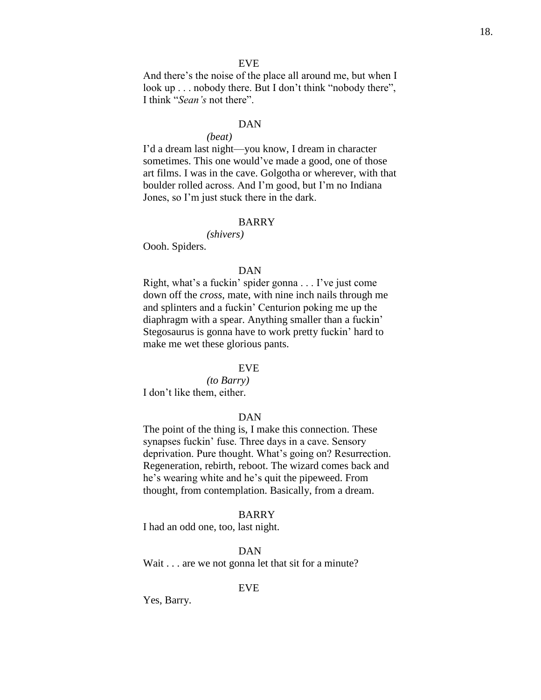And there's the noise of the place all around me, but when I look up . . . nobody there. But I don't think "nobody there", I think "*Sean's* not there".

#### DAN

# *(beat)*

I'd a dream last night—you know, I dream in character sometimes. This one would've made a good, one of those art films. I was in the cave. Golgotha or wherever, with that boulder rolled across. And I'm good, but I'm no Indiana Jones, so I'm just stuck there in the dark.

#### BARRY

*(shivers)*

Oooh. Spiders.

#### DAN

Right, what's a fuckin' spider gonna . . . I've just come down off the *cross*, mate, with nine inch nails through me and splinters and a fuckin' Centurion poking me up the diaphragm with a spear. Anything smaller than a fuckin' Stegosaurus is gonna have to work pretty fuckin' hard to make me wet these glorious pants.

#### EVE

*(to Barry)* I don't like them, either.

# DAN

The point of the thing is, I make this connection. These synapses fuckin' fuse. Three days in a cave. Sensory deprivation. Pure thought. What's going on? Resurrection. Regeneration, rebirth, reboot. The wizard comes back and he's wearing white and he's quit the pipeweed. From thought, from contemplation. Basically, from a dream.

# BARRY

I had an odd one, too, last night.

# DAN

Wait . . . are we not gonna let that sit for a minute?

EVE

Yes, Barry.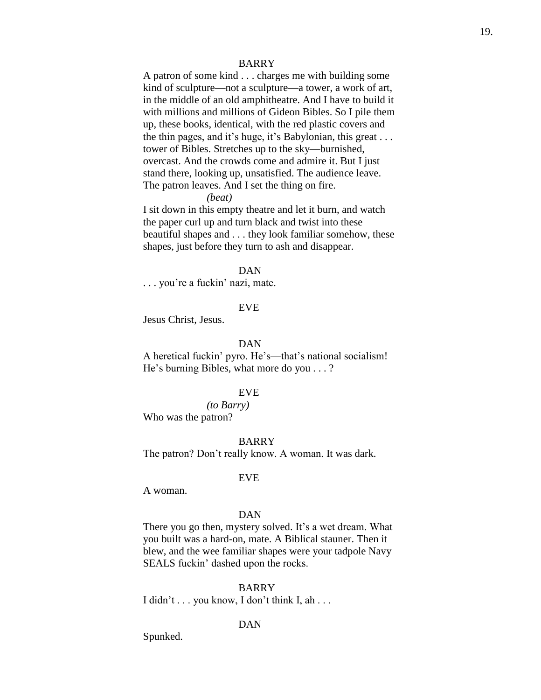A patron of some kind . . . charges me with building some kind of sculpture—not a sculpture—a tower, a work of art, in the middle of an old amphitheatre. And I have to build it with millions and millions of Gideon Bibles. So I pile them up, these books, identical, with the red plastic covers and the thin pages, and it's huge, it's Babylonian, this great . . . tower of Bibles. Stretches up to the sky—burnished, overcast. And the crowds come and admire it. But I just stand there, looking up, unsatisfied. The audience leave. The patron leaves. And I set the thing on fire.

#### *(beat)*

I sit down in this empty theatre and let it burn, and watch the paper curl up and turn black and twist into these beautiful shapes and . . . they look familiar somehow, these shapes, just before they turn to ash and disappear.

#### DAN

. . . you're a fuckin' nazi, mate.

### EVE

Jesus Christ, Jesus.

#### DAN

A heretical fuckin' pyro. He's—that's national socialism! He's burning Bibles, what more do you . . . ?

# EVE

*(to Barry)* Who was the patron?

# BARRY

The patron? Don't really know. A woman. It was dark.

#### EVE

A woman.

# DAN

There you go then, mystery solved. It's a wet dream. What you built was a hard-on, mate. A Biblical stauner. Then it blew, and the wee familiar shapes were your tadpole Navy SEALS fuckin' dashed upon the rocks.

# BARRY

I didn't  $\ldots$  you know, I don't think I, ah  $\ldots$ 

# DAN

Spunked.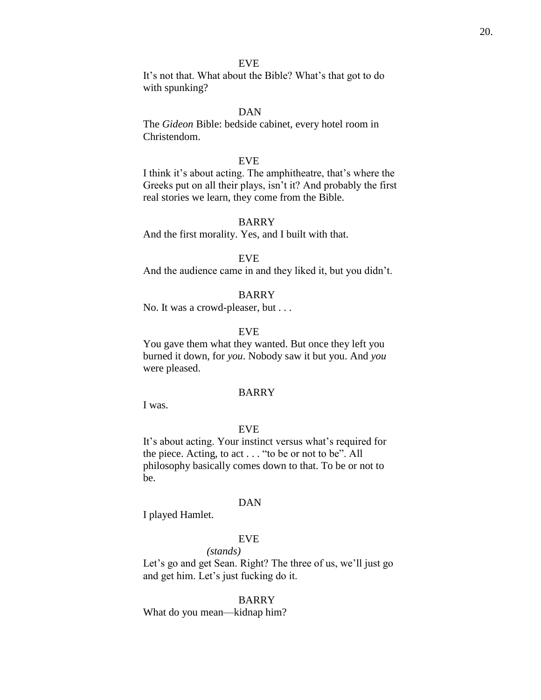It's not that. What about the Bible? What's that got to do with spunking?

# DAN

The *Gideon* Bible: bedside cabinet, every hotel room in Christendom.

# EVE

I think it's about acting. The amphitheatre, that's where the Greeks put on all their plays, isn't it? And probably the first real stories we learn, they come from the Bible.

# BARRY

And the first morality. Yes, and I built with that.

# EVE

And the audience came in and they liked it, but you didn't.

### BARRY

No. It was a crowd-pleaser, but . . .

### EVE

You gave them what they wanted. But once they left you burned it down, for *you*. Nobody saw it but you. And *you* were pleased.

# BARRY

I was.

# EVE

It's about acting. Your instinct versus what's required for the piece. Acting, to act . . . "to be or not to be". All philosophy basically comes down to that. To be or not to be.

#### DAN

I played Hamlet.

# EVE

*(stands)*

Let's go and get Sean. Right? The three of us, we'll just go and get him. Let's just fucking do it.

# BARRY

What do you mean—kidnap him?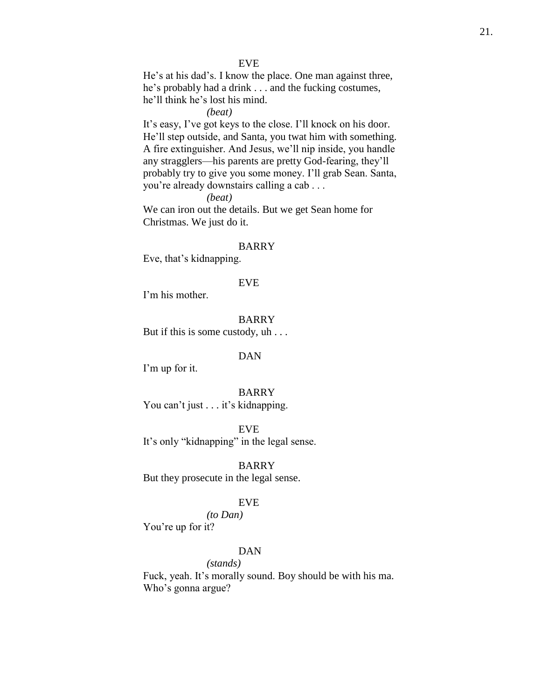He's at his dad's. I know the place. One man against three, he's probably had a drink . . . and the fucking costumes, he'll think he's lost his mind.

# *(beat)*

It's easy, I've got keys to the close. I'll knock on his door. He'll step outside, and Santa, you twat him with something. A fire extinguisher. And Jesus, we'll nip inside, you handle any stragglers—his parents are pretty God-fearing, they'll probably try to give you some money. I'll grab Sean. Santa, you're already downstairs calling a cab . . .

*(beat)*

We can iron out the details. But we get Sean home for Christmas. We just do it.

#### BARRY

Eve, that's kidnapping.

# EVE

I'm his mother.

### BARRY

But if this is some custody, uh . . .

### DAN

I'm up for it.

BARRY You can't just . . . it's kidnapping.

EVE It's only "kidnapping" in the legal sense.

BARRY But they prosecute in the legal sense.

# EVE

*(to Dan)* You're up for it?

### DAN

*(stands)*

Fuck, yeah. It's morally sound. Boy should be with his ma. Who's gonna argue?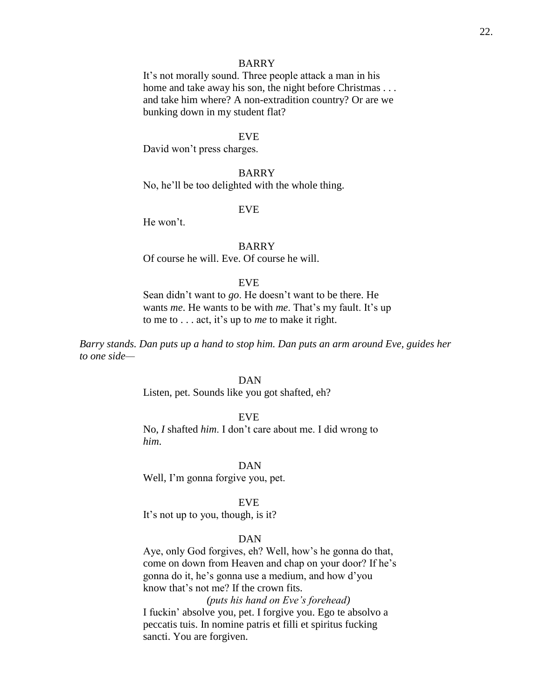It's not morally sound. Three people attack a man in his home and take away his son, the night before Christmas . . . and take him where? A non-extradition country? Or are we bunking down in my student flat?

#### EVE

David won't press charges.

# BARRY

No, he'll be too delighted with the whole thing.

### EVE

He won't.

# BARRY Of course he will. Eve. Of course he will.

#### EVE

Sean didn't want to *go*. He doesn't want to be there. He wants *me*. He wants to be with *me*. That's my fault. It's up to me to . . . act, it's up to *me* to make it right.

*Barry stands. Dan puts up a hand to stop him. Dan puts an arm around Eve, guides her to one side—*

# DAN

Listen, pet. Sounds like you got shafted, eh?

### EVE

No, *I* shafted *him*. I don't care about me. I did wrong to *him*.

#### DAN

Well, I'm gonna forgive you, pet.

# EVE

It's not up to you, though, is it?

# DAN

Aye, only God forgives, eh? Well, how's he gonna do that, come on down from Heaven and chap on your door? If he's gonna do it, he's gonna use a medium, and how d'you know that's not me? If the crown fits.

*(puts his hand on Eve's forehead)* I fuckin' absolve you, pet. I forgive you. Ego te absolvo a peccatis tuis. In nomine patris et filli et spiritus fucking sancti. You are forgiven.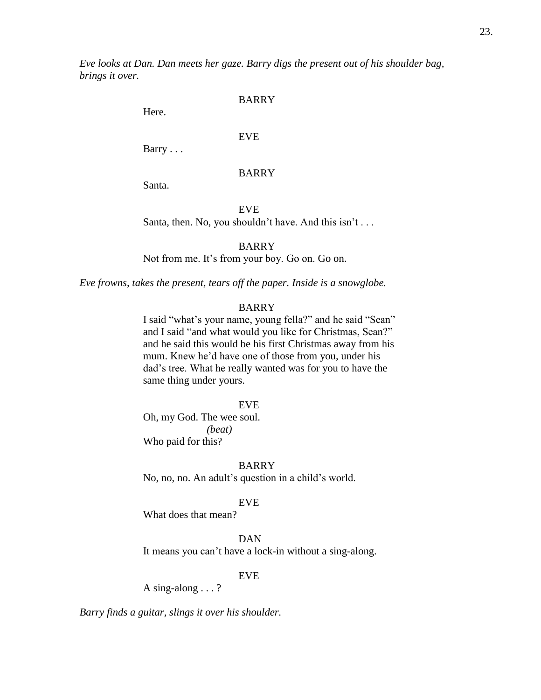*Eve looks at Dan. Dan meets her gaze. Barry digs the present out of his shoulder bag, brings it over.*

## BARRY

Here.

# EVE

Barry . . .

# BARRY

Santa.

EVE

Santa, then. No, you shouldn't have. And this isn't . . .

# BARRY

Not from me. It's from your boy. Go on. Go on.

*Eve frowns, takes the present, tears off the paper. Inside is a snowglobe.*

# BARRY

I said "what's your name, young fella?" and he said "Sean" and I said "and what would you like for Christmas, Sean?" and he said this would be his first Christmas away from his mum. Knew he'd have one of those from you, under his dad's tree. What he really wanted was for you to have the same thing under yours.

#### EVE

Oh, my God. The wee soul. *(beat)* Who paid for this?

BARRY

No, no, no. An adult's question in a child's world.

# EVE

What does that mean?

DAN

It means you can't have a lock-in without a sing-along.

# EVE

A sing-along . . . ?

*Barry finds a guitar, slings it over his shoulder.*